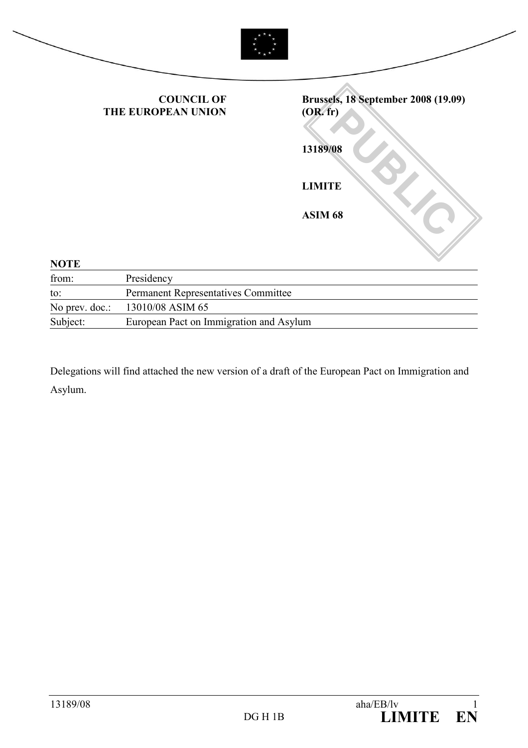|                | <b>COUNCIL OF</b><br>THE EUROPEAN UNION | <b>Brussels, 18 September 2008 (19.09)</b><br>(OR. fr) |
|----------------|-----------------------------------------|--------------------------------------------------------|
|                |                                         | 13189/08                                               |
|                |                                         | <b>LIMITE</b>                                          |
|                |                                         | ASIM 68                                                |
| <b>NOTE</b>    |                                         |                                                        |
| from:          | Presidency                              |                                                        |
| to:            | Permanent Representatives Committee     |                                                        |
| No prev. doc.: | 13010/08 ASIM 65                        |                                                        |

Subject: European Pact on Immigration and Asylum

Delegations will find attached the new version of a draft of the European Pact on Immigration and Asylum.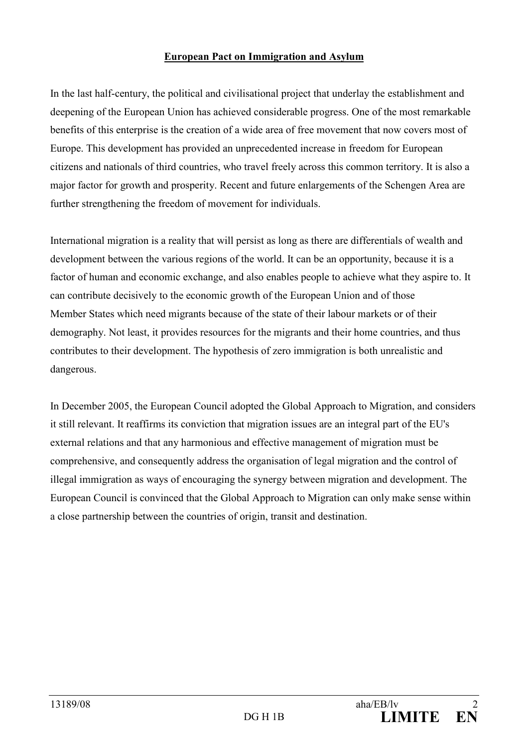#### European Pact on Immigration and Asylum

In the last half-century, the political and civilisational project that underlay the establishment and deepening of the European Union has achieved considerable progress. One of the most remarkable benefits of this enterprise is the creation of a wide area of free movement that now covers most of Europe. This development has provided an unprecedented increase in freedom for European citizens and nationals of third countries, who travel freely across this common territory. It is also a major factor for growth and prosperity. Recent and future enlargements of the Schengen Area are further strengthening the freedom of movement for individuals.

International migration is a reality that will persist as long as there are differentials of wealth and development between the various regions of the world. It can be an opportunity, because it is a factor of human and economic exchange, and also enables people to achieve what they aspire to. It can contribute decisively to the economic growth of the European Union and of those Member States which need migrants because of the state of their labour markets or of their demography. Not least, it provides resources for the migrants and their home countries, and thus contributes to their development. The hypothesis of zero immigration is both unrealistic and dangerous.

In December 2005, the European Council adopted the Global Approach to Migration, and considers it still relevant. It reaffirms its conviction that migration issues are an integral part of the EU's external relations and that any harmonious and effective management of migration must be comprehensive, and consequently address the organisation of legal migration and the control of illegal immigration as ways of encouraging the synergy between migration and development. The European Council is convinced that the Global Approach to Migration can only make sense within a close partnership between the countries of origin, transit and destination.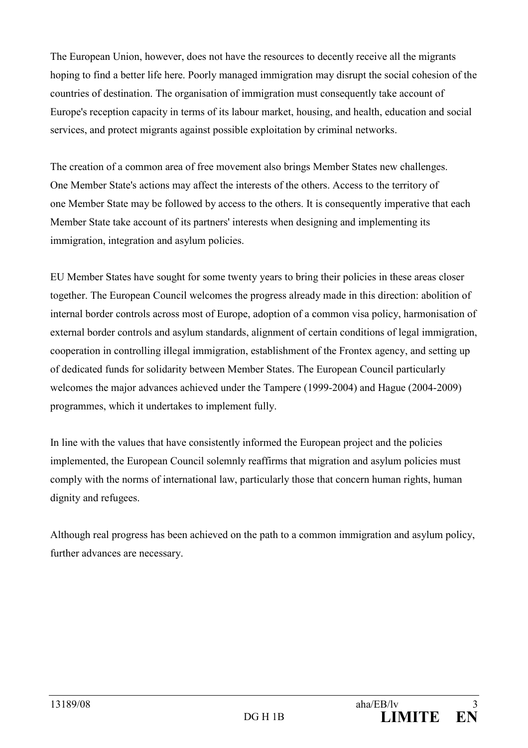The European Union, however, does not have the resources to decently receive all the migrants hoping to find a better life here. Poorly managed immigration may disrupt the social cohesion of the countries of destination. The organisation of immigration must consequently take account of Europe's reception capacity in terms of its labour market, housing, and health, education and social services, and protect migrants against possible exploitation by criminal networks.

The creation of a common area of free movement also brings Member States new challenges. One Member State's actions may affect the interests of the others. Access to the territory of one Member State may be followed by access to the others. It is consequently imperative that each Member State take account of its partners' interests when designing and implementing its immigration, integration and asylum policies.

EU Member States have sought for some twenty years to bring their policies in these areas closer together. The European Council welcomes the progress already made in this direction: abolition of internal border controls across most of Europe, adoption of a common visa policy, harmonisation of external border controls and asylum standards, alignment of certain conditions of legal immigration, cooperation in controlling illegal immigration, establishment of the Frontex agency, and setting up of dedicated funds for solidarity between Member States. The European Council particularly welcomes the major advances achieved under the Tampere (1999-2004) and Hague (2004-2009) programmes, which it undertakes to implement fully.

In line with the values that have consistently informed the European project and the policies implemented, the European Council solemnly reaffirms that migration and asylum policies must comply with the norms of international law, particularly those that concern human rights, human dignity and refugees.

Although real progress has been achieved on the path to a common immigration and asylum policy, further advances are necessary.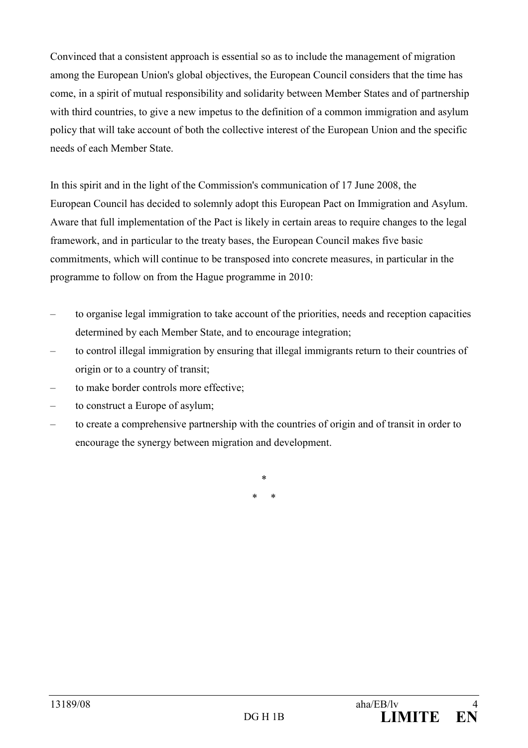Convinced that a consistent approach is essential so as to include the management of migration among the European Union's global objectives, the European Council considers that the time has come, in a spirit of mutual responsibility and solidarity between Member States and of partnership with third countries, to give a new impetus to the definition of a common immigration and asylum policy that will take account of both the collective interest of the European Union and the specific needs of each Member State.

In this spirit and in the light of the Commission's communication of 17 June 2008, the European Council has decided to solemnly adopt this European Pact on Immigration and Asylum. Aware that full implementation of the Pact is likely in certain areas to require changes to the legal framework, and in particular to the treaty bases, the European Council makes five basic commitments, which will continue to be transposed into concrete measures, in particular in the programme to follow on from the Hague programme in 2010:

- to organise legal immigration to take account of the priorities, needs and reception capacities determined by each Member State, and to encourage integration;
- to control illegal immigration by ensuring that illegal immigrants return to their countries of origin or to a country of transit;
- to make border controls more effective;
- to construct a Europe of asylum;
- to create a comprehensive partnership with the countries of origin and of transit in order to encourage the synergy between migration and development.

\* \* \*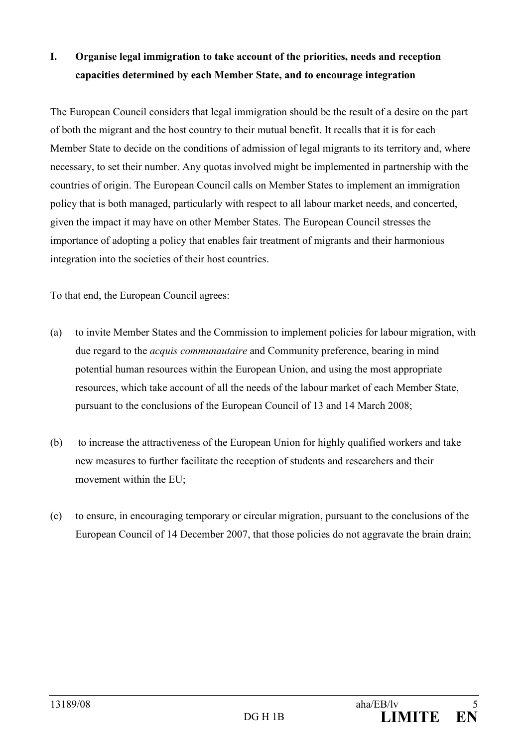### I. Organise legal immigration to take account of the priorities, needs and reception capacities determined by each Member State, and to encourage integration

The European Council considers that legal immigration should be the result of a desire on the part of both the migrant and the host country to their mutual benefit. It recalls that it is for each Member State to decide on the conditions of admission of legal migrants to its territory and, where necessary, to set their number. Any quotas involved might be implemented in partnership with the countries of origin. The European Council calls on Member States to implement an immigration policy that is both managed, particularly with respect to all labour market needs, and concerted, given the impact it may have on other Member States. The European Council stresses the importance of adopting a policy that enables fair treatment of migrants and their harmonious integration into the societies of their host countries.

To that end, the European Council agrees:

- (a) to invite Member States and the Commission to implement policies for labour migration, with due regard to the *acquis communautaire* and Community preference, bearing in mind potential human resources within the European Union, and using the most appropriate resources, which take account of all the needs of the labour market of each Member State, pursuant to the conclusions of the European Council of 13 and 14 March 2008;
- (b) to increase the attractiveness of the European Union for highly qualified workers and take new measures to further facilitate the reception of students and researchers and their movement within the EU;
- (c) to ensure, in encouraging temporary or circular migration, pursuant to the conclusions of the European Council of 14 December 2007, that those policies do not aggravate the brain drain;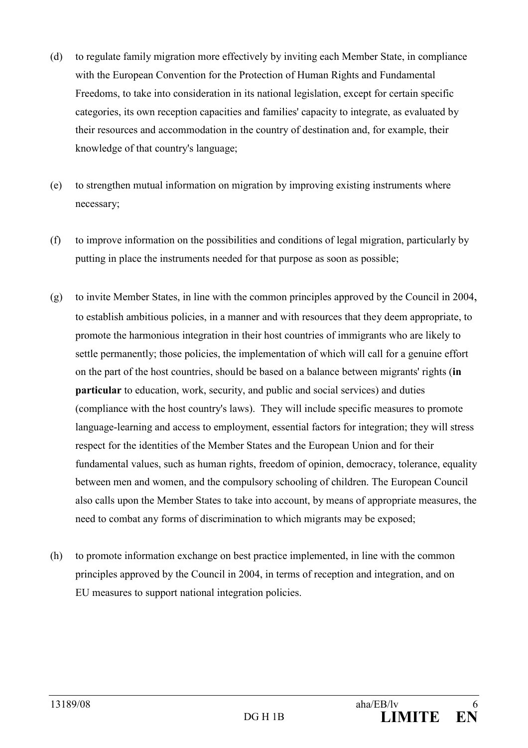- (d) to regulate family migration more effectively by inviting each Member State, in compliance with the European Convention for the Protection of Human Rights and Fundamental Freedoms, to take into consideration in its national legislation, except for certain specific categories, its own reception capacities and families' capacity to integrate, as evaluated by their resources and accommodation in the country of destination and, for example, their knowledge of that country's language;
- (e) to strengthen mutual information on migration by improving existing instruments where necessary;
- (f) to improve information on the possibilities and conditions of legal migration, particularly by putting in place the instruments needed for that purpose as soon as possible;
- (g) to invite Member States, in line with the common principles approved by the Council in 2004, to establish ambitious policies, in a manner and with resources that they deem appropriate, to promote the harmonious integration in their host countries of immigrants who are likely to settle permanently; those policies, the implementation of which will call for a genuine effort on the part of the host countries, should be based on a balance between migrants' rights (in particular to education, work, security, and public and social services) and duties (compliance with the host country's laws). They will include specific measures to promote language-learning and access to employment, essential factors for integration; they will stress respect for the identities of the Member States and the European Union and for their fundamental values, such as human rights, freedom of opinion, democracy, tolerance, equality between men and women, and the compulsory schooling of children. The European Council also calls upon the Member States to take into account, by means of appropriate measures, the need to combat any forms of discrimination to which migrants may be exposed;
- (h) to promote information exchange on best practice implemented, in line with the common principles approved by the Council in 2004, in terms of reception and integration, and on EU measures to support national integration policies.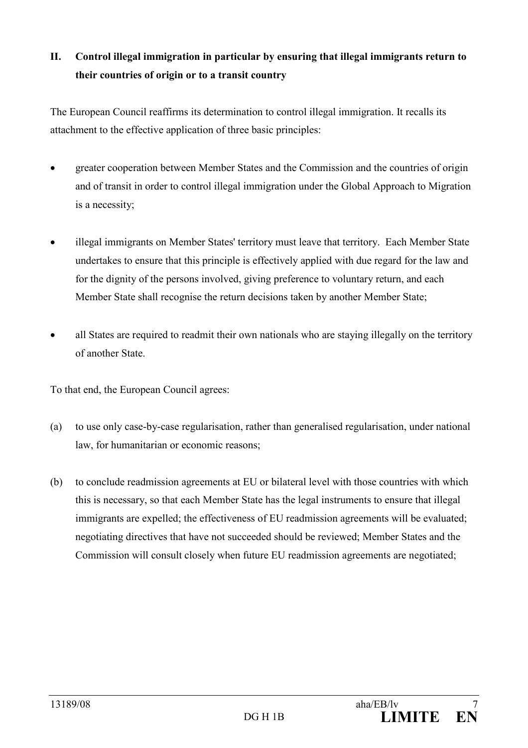## II. Control illegal immigration in particular by ensuring that illegal immigrants return to their countries of origin or to a transit country

The European Council reaffirms its determination to control illegal immigration. It recalls its attachment to the effective application of three basic principles:

- greater cooperation between Member States and the Commission and the countries of origin and of transit in order to control illegal immigration under the Global Approach to Migration is a necessity;
- illegal immigrants on Member States' territory must leave that territory. Each Member State undertakes to ensure that this principle is effectively applied with due regard for the law and for the dignity of the persons involved, giving preference to voluntary return, and each Member State shall recognise the return decisions taken by another Member State;
- all States are required to readmit their own nationals who are staying illegally on the territory of another State.

To that end, the European Council agrees:

- (a) to use only case-by-case regularisation, rather than generalised regularisation, under national law, for humanitarian or economic reasons;
- (b) to conclude readmission agreements at EU or bilateral level with those countries with which this is necessary, so that each Member State has the legal instruments to ensure that illegal immigrants are expelled; the effectiveness of EU readmission agreements will be evaluated; negotiating directives that have not succeeded should be reviewed; Member States and the Commission will consult closely when future EU readmission agreements are negotiated;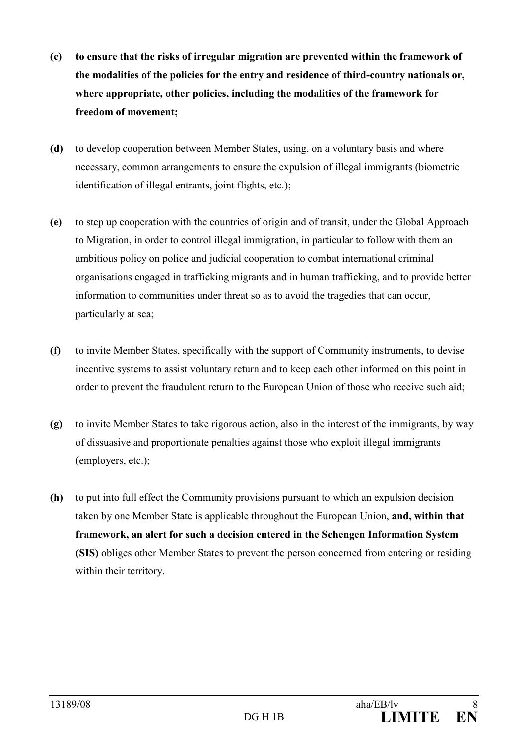- (c) to ensure that the risks of irregular migration are prevented within the framework of the modalities of the policies for the entry and residence of third-country nationals or, where appropriate, other policies, including the modalities of the framework for freedom of movement;
- (d) to develop cooperation between Member States, using, on a voluntary basis and where necessary, common arrangements to ensure the expulsion of illegal immigrants (biometric identification of illegal entrants, joint flights, etc.);
- (e) to step up cooperation with the countries of origin and of transit, under the Global Approach to Migration, in order to control illegal immigration, in particular to follow with them an ambitious policy on police and judicial cooperation to combat international criminal organisations engaged in trafficking migrants and in human trafficking, and to provide better information to communities under threat so as to avoid the tragedies that can occur, particularly at sea;
- (f) to invite Member States, specifically with the support of Community instruments, to devise incentive systems to assist voluntary return and to keep each other informed on this point in order to prevent the fraudulent return to the European Union of those who receive such aid;
- (g) to invite Member States to take rigorous action, also in the interest of the immigrants, by way of dissuasive and proportionate penalties against those who exploit illegal immigrants (employers, etc.);
- (h) to put into full effect the Community provisions pursuant to which an expulsion decision taken by one Member State is applicable throughout the European Union, and, within that framework, an alert for such a decision entered in the Schengen Information System (SIS) obliges other Member States to prevent the person concerned from entering or residing within their territory.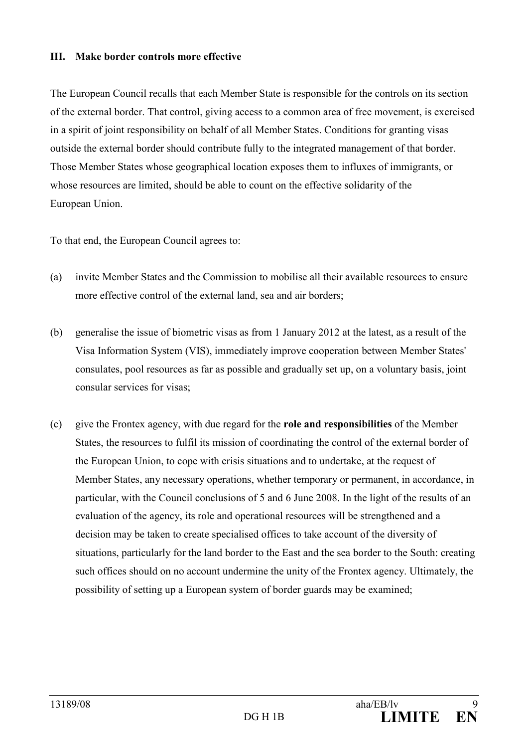#### III. Make border controls more effective

The European Council recalls that each Member State is responsible for the controls on its section of the external border. That control, giving access to a common area of free movement, is exercised in a spirit of joint responsibility on behalf of all Member States. Conditions for granting visas outside the external border should contribute fully to the integrated management of that border. Those Member States whose geographical location exposes them to influxes of immigrants, or whose resources are limited, should be able to count on the effective solidarity of the European Union.

To that end, the European Council agrees to:

- (a) invite Member States and the Commission to mobilise all their available resources to ensure more effective control of the external land, sea and air borders;
- (b) generalise the issue of biometric visas as from 1 January 2012 at the latest, as a result of the Visa Information System (VIS), immediately improve cooperation between Member States' consulates, pool resources as far as possible and gradually set up, on a voluntary basis, joint consular services for visas;
- (c) give the Frontex agency, with due regard for the role and responsibilities of the Member States, the resources to fulfil its mission of coordinating the control of the external border of the European Union, to cope with crisis situations and to undertake, at the request of Member States, any necessary operations, whether temporary or permanent, in accordance, in particular, with the Council conclusions of 5 and 6 June 2008. In the light of the results of an evaluation of the agency, its role and operational resources will be strengthened and a decision may be taken to create specialised offices to take account of the diversity of situations, particularly for the land border to the East and the sea border to the South: creating such offices should on no account undermine the unity of the Frontex agency. Ultimately, the possibility of setting up a European system of border guards may be examined;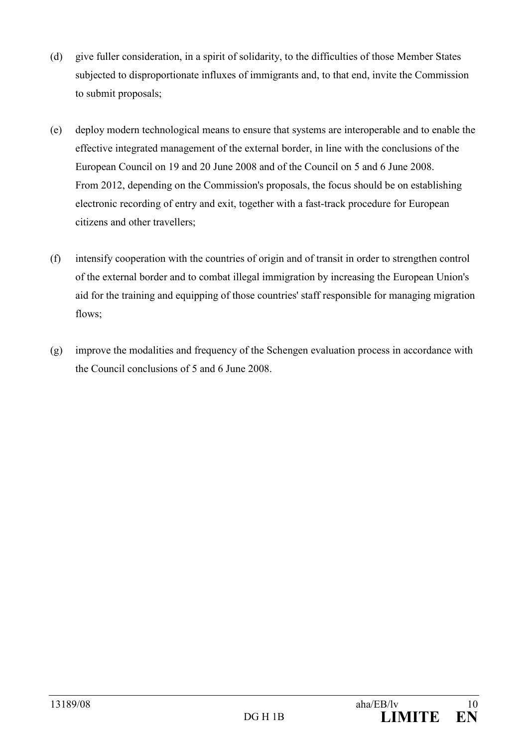- (d) give fuller consideration, in a spirit of solidarity, to the difficulties of those Member States subjected to disproportionate influxes of immigrants and, to that end, invite the Commission to submit proposals;
- (e) deploy modern technological means to ensure that systems are interoperable and to enable the effective integrated management of the external border, in line with the conclusions of the European Council on 19 and 20 June 2008 and of the Council on 5 and 6 June 2008. From 2012, depending on the Commission's proposals, the focus should be on establishing electronic recording of entry and exit, together with a fast-track procedure for European citizens and other travellers;
- (f) intensify cooperation with the countries of origin and of transit in order to strengthen control of the external border and to combat illegal immigration by increasing the European Union's aid for the training and equipping of those countries' staff responsible for managing migration flows:
- (g) improve the modalities and frequency of the Schengen evaluation process in accordance with the Council conclusions of 5 and 6 June 2008.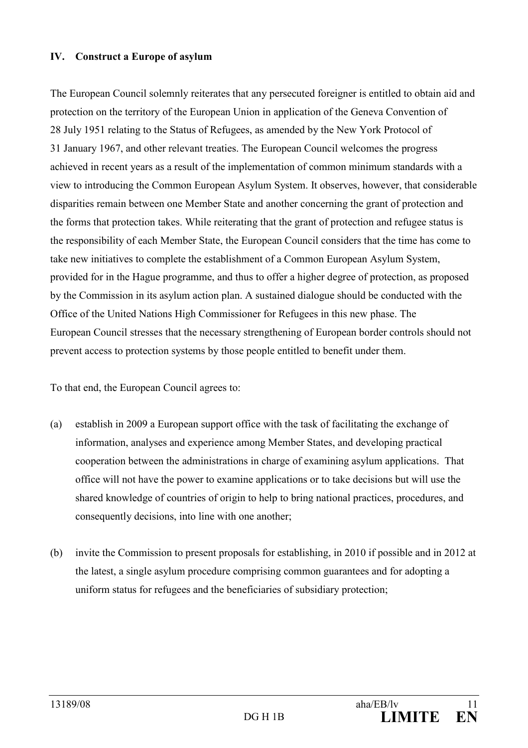#### IV. Construct a Europe of asylum

The European Council solemnly reiterates that any persecuted foreigner is entitled to obtain aid and protection on the territory of the European Union in application of the Geneva Convention of 28 July 1951 relating to the Status of Refugees, as amended by the New York Protocol of 31 January 1967, and other relevant treaties. The European Council welcomes the progress achieved in recent years as a result of the implementation of common minimum standards with a view to introducing the Common European Asylum System. It observes, however, that considerable disparities remain between one Member State and another concerning the grant of protection and the forms that protection takes. While reiterating that the grant of protection and refugee status is the responsibility of each Member State, the European Council considers that the time has come to take new initiatives to complete the establishment of a Common European Asylum System, provided for in the Hague programme, and thus to offer a higher degree of protection, as proposed by the Commission in its asylum action plan. A sustained dialogue should be conducted with the Office of the United Nations High Commissioner for Refugees in this new phase. The European Council stresses that the necessary strengthening of European border controls should not prevent access to protection systems by those people entitled to benefit under them.

To that end, the European Council agrees to:

- (a) establish in 2009 a European support office with the task of facilitating the exchange of information, analyses and experience among Member States, and developing practical cooperation between the administrations in charge of examining asylum applications. That office will not have the power to examine applications or to take decisions but will use the shared knowledge of countries of origin to help to bring national practices, procedures, and consequently decisions, into line with one another;
- (b) invite the Commission to present proposals for establishing, in 2010 if possible and in 2012 at the latest, a single asylum procedure comprising common guarantees and for adopting a uniform status for refugees and the beneficiaries of subsidiary protection;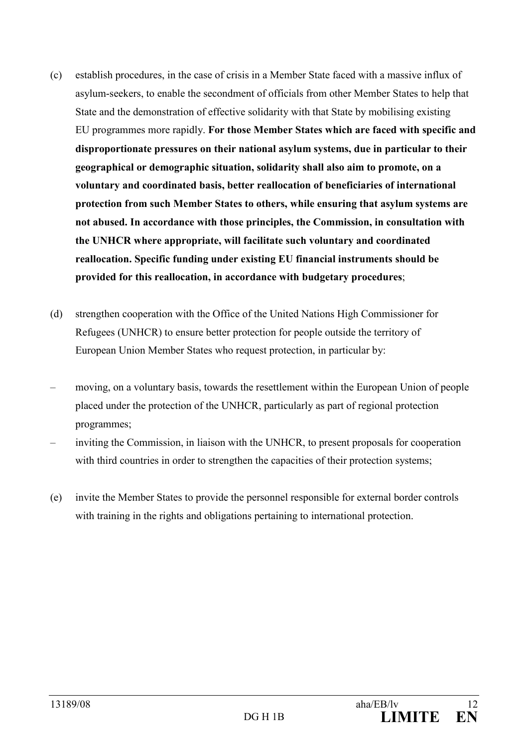- (c) establish procedures, in the case of crisis in a Member State faced with a massive influx of asylum-seekers, to enable the secondment of officials from other Member States to help that State and the demonstration of effective solidarity with that State by mobilising existing EU programmes more rapidly. For those Member States which are faced with specific and disproportionate pressures on their national asylum systems, due in particular to their geographical or demographic situation, solidarity shall also aim to promote, on a voluntary and coordinated basis, better reallocation of beneficiaries of international protection from such Member States to others, while ensuring that asylum systems are not abused. In accordance with those principles, the Commission, in consultation with the UHCR where appropriate, will facilitate such voluntary and coordinated reallocation. Specific funding under existing EU financial instruments should be provided for this reallocation, in accordance with budgetary procedures;
- (d) strengthen cooperation with the Office of the United Nations High Commissioner for Refugees (UNHCR) to ensure better protection for people outside the territory of European Union Member States who request protection, in particular by:
- moving, on a voluntary basis, towards the resettlement within the European Union of people placed under the protection of the UNHCR, particularly as part of regional protection programmes;
- inviting the Commission, in liaison with the UNHCR, to present proposals for cooperation with third countries in order to strengthen the capacities of their protection systems;
- (e) invite the Member States to provide the personnel responsible for external border controls with training in the rights and obligations pertaining to international protection.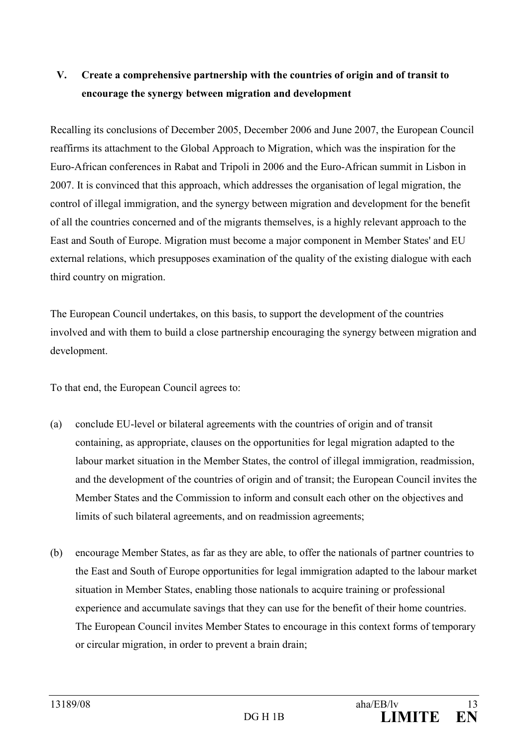# V. Create a comprehensive partnership with the countries of origin and of transit to encourage the synergy between migration and development

Recalling its conclusions of December 2005, December 2006 and June 2007, the European Council reaffirms its attachment to the Global Approach to Migration, which was the inspiration for the Euro-African conferences in Rabat and Tripoli in 2006 and the Euro-African summit in Lisbon in 2007. It is convinced that this approach, which addresses the organisation of legal migration, the control of illegal immigration, and the synergy between migration and development for the benefit of all the countries concerned and of the migrants themselves, is a highly relevant approach to the East and South of Europe. Migration must become a major component in Member States' and EU external relations, which presupposes examination of the quality of the existing dialogue with each third country on migration.

The European Council undertakes, on this basis, to support the development of the countries involved and with them to build a close partnership encouraging the synergy between migration and development.

To that end, the European Council agrees to:

- (a) conclude EU-level or bilateral agreements with the countries of origin and of transit containing, as appropriate, clauses on the opportunities for legal migration adapted to the labour market situation in the Member States, the control of illegal immigration, readmission, and the development of the countries of origin and of transit; the European Council invites the Member States and the Commission to inform and consult each other on the objectives and limits of such bilateral agreements, and on readmission agreements;
- (b) encourage Member States, as far as they are able, to offer the nationals of partner countries to the East and South of Europe opportunities for legal immigration adapted to the labour market situation in Member States, enabling those nationals to acquire training or professional experience and accumulate savings that they can use for the benefit of their home countries. The European Council invites Member States to encourage in this context forms of temporary or circular migration, in order to prevent a brain drain;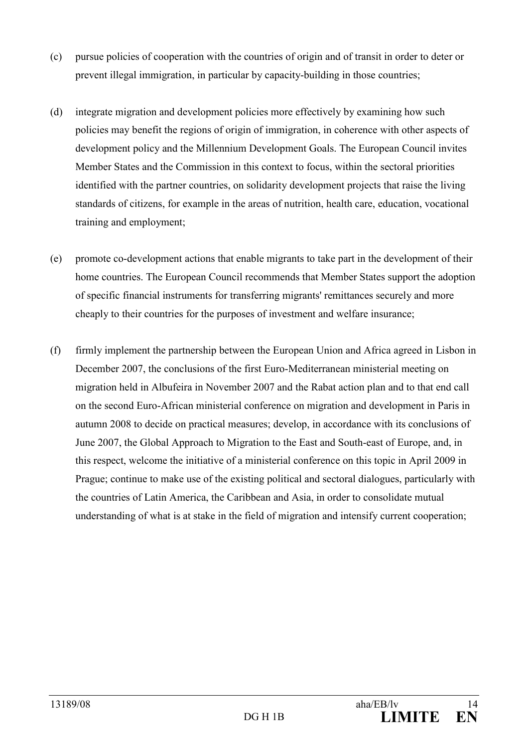- (c) pursue policies of cooperation with the countries of origin and of transit in order to deter or prevent illegal immigration, in particular by capacity-building in those countries;
- (d) integrate migration and development policies more effectively by examining how such policies may benefit the regions of origin of immigration, in coherence with other aspects of development policy and the Millennium Development Goals. The European Council invites Member States and the Commission in this context to focus, within the sectoral priorities identified with the partner countries, on solidarity development projects that raise the living standards of citizens, for example in the areas of nutrition, health care, education, vocational training and employment;
- (e) promote co-development actions that enable migrants to take part in the development of their home countries. The European Council recommends that Member States support the adoption of specific financial instruments for transferring migrants' remittances securely and more cheaply to their countries for the purposes of investment and welfare insurance;
- (f) firmly implement the partnership between the European Union and Africa agreed in Lisbon in December 2007, the conclusions of the first Euro-Mediterranean ministerial meeting on migration held in Albufeira in November 2007 and the Rabat action plan and to that end call on the second Euro-African ministerial conference on migration and development in Paris in autumn 2008 to decide on practical measures; develop, in accordance with its conclusions of June 2007, the Global Approach to Migration to the East and South-east of Europe, and, in this respect, welcome the initiative of a ministerial conference on this topic in April 2009 in Prague; continue to make use of the existing political and sectoral dialogues, particularly with the countries of Latin America, the Caribbean and Asia, in order to consolidate mutual understanding of what is at stake in the field of migration and intensify current cooperation;